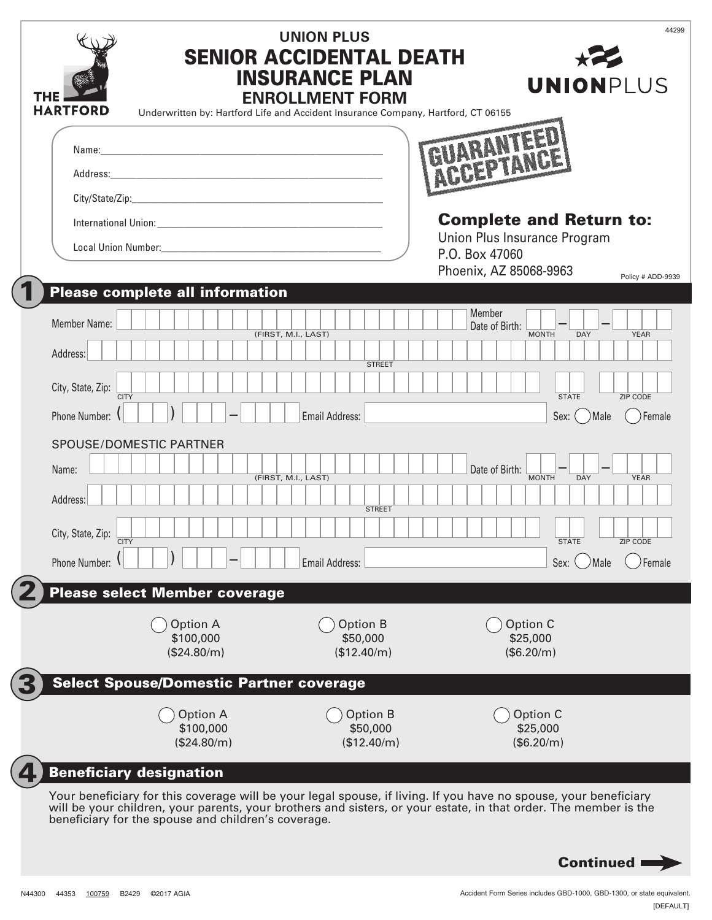| THE<br><b>HARTFORD</b>                              | <b>UNION PLUS</b><br><b>SENIOR ACCIDENTAL DEATH</b><br><b>INSURANCE PLAN</b><br><b>ENROLLMENT FORM</b><br>Underwritten by: Hartford Life and Accident Insurance Company, Hartford, CT 06155 | <b>UNIONPLUS</b>                                                                                                                                                                                                                     | 44299 |
|-----------------------------------------------------|---------------------------------------------------------------------------------------------------------------------------------------------------------------------------------------------|--------------------------------------------------------------------------------------------------------------------------------------------------------------------------------------------------------------------------------------|-------|
|                                                     |                                                                                                                                                                                             |                                                                                                                                                                                                                                      |       |
|                                                     |                                                                                                                                                                                             |                                                                                                                                                                                                                                      |       |
|                                                     |                                                                                                                                                                                             | <b>Complete and Return to:</b><br>Union Plus Insurance Program                                                                                                                                                                       |       |
|                                                     |                                                                                                                                                                                             | P.O. Box 47060                                                                                                                                                                                                                       |       |
| <b>Please complete all information</b>              |                                                                                                                                                                                             | Phoenix, AZ 85068-9963<br>Policy # ADD-9939                                                                                                                                                                                          |       |
| Member Name:<br>Address:                            | (FIRST, M.I., LAST)                                                                                                                                                                         | Member<br>Date of Birth:<br><b>MONTH</b><br><b>DAY</b><br><b>YEAR</b>                                                                                                                                                                |       |
| City, State, Zip:                                   | <b>STREET</b>                                                                                                                                                                               |                                                                                                                                                                                                                                      |       |
| <b>CITY</b><br>Phone Number: 1                      |                                                                                                                                                                                             | <b>STATE</b><br><b>ZIP CODE</b>                                                                                                                                                                                                      |       |
|                                                     | Email Address:                                                                                                                                                                              | Sex: ( ) Male<br>Female                                                                                                                                                                                                              |       |
| SPOUSE/DOMESTIC PARTNER<br>Name:<br>Address:        | (FIRST, M.I., LAST)                                                                                                                                                                         | Date of Birth:<br><b>MONTH</b><br><b>YEAR</b><br><b>DAY</b>                                                                                                                                                                          |       |
| City, State, Zip:                                   | <b>STREET</b>                                                                                                                                                                               |                                                                                                                                                                                                                                      |       |
| <b>CITY</b><br>Phone Number:                        | Email Address:                                                                                                                                                                              | <b>STATE</b><br><b>ZIP CODE</b><br>Female<br>Sex:<br>Male)                                                                                                                                                                           |       |
| <b>Please select Member coverage</b>                |                                                                                                                                                                                             |                                                                                                                                                                                                                                      |       |
| Option A<br>\$100,000<br>(\$24.80/m)                | <b>Option B</b><br>\$50,000<br>(\$12.40/m)                                                                                                                                                  | Option C<br>\$25,000<br>(\$6.20/m)                                                                                                                                                                                                   |       |
| <b>Select Spouse/Domestic Partner coverage</b>      |                                                                                                                                                                                             |                                                                                                                                                                                                                                      |       |
| Option A<br>\$100,000<br>(\$24.80/m)                | Option B<br>\$50,000<br>(\$12.40/m)                                                                                                                                                         | Option C<br>\$25,000<br>(\$6.20/m)                                                                                                                                                                                                   |       |
| <b>Beneficiary designation</b>                      |                                                                                                                                                                                             |                                                                                                                                                                                                                                      |       |
| beneficiary for the spouse and children's coverage. |                                                                                                                                                                                             | Your beneficiary for this coverage will be your legal spouse, if living. If you have no spouse, your beneficiary<br>will be your children, your parents, your brothers and sisters, or your estate, in that order. The member is the |       |
|                                                     |                                                                                                                                                                                             | <b>Continued</b>                                                                                                                                                                                                                     |       |